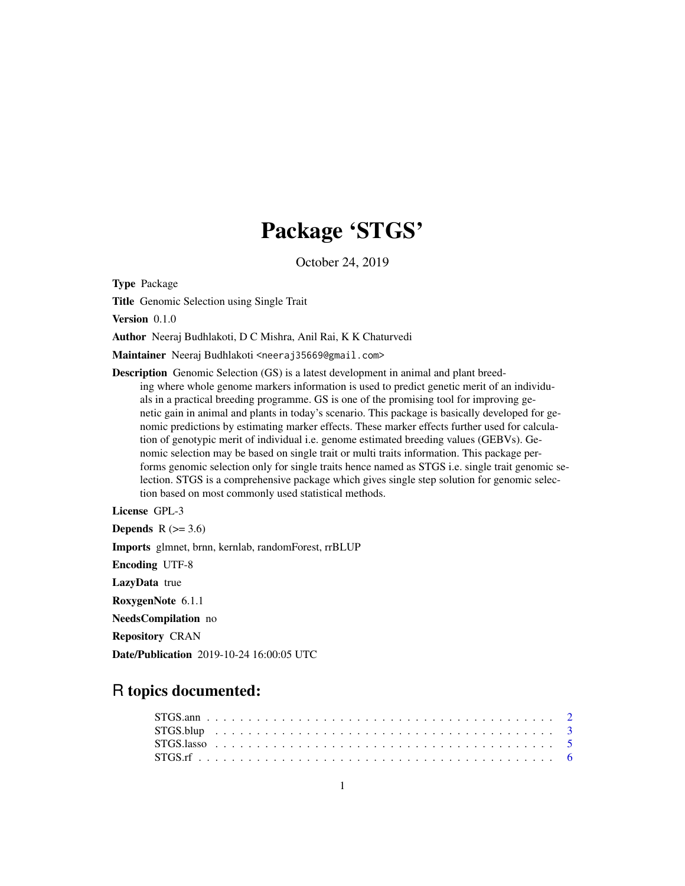## Package 'STGS'

October 24, 2019

Type Package

Title Genomic Selection using Single Trait

Version 0.1.0

Author Neeraj Budhlakoti, D C Mishra, Anil Rai, K K Chaturvedi

Maintainer Neeraj Budhlakoti <neeraj35669@gmail.com>

Description Genomic Selection (GS) is a latest development in animal and plant breeding where whole genome markers information is used to predict genetic merit of an individuals in a practical breeding programme. GS is one of the promising tool for improving genetic gain in animal and plants in today's scenario. This package is basically developed for genomic predictions by estimating marker effects. These marker effects further used for calculation of genotypic merit of individual i.e. genome estimated breeding values (GEBVs). Genomic selection may be based on single trait or multi traits information. This package performs genomic selection only for single traits hence named as STGS i.e. single trait genomic selection. STGS is a comprehensive package which gives single step solution for genomic selection based on most commonly used statistical methods.

License GPL-3 Depends  $R$  ( $>= 3.6$ ) Imports glmnet, brnn, kernlab, randomForest, rrBLUP Encoding UTF-8 LazyData true RoxygenNote 6.1.1 NeedsCompilation no Repository CRAN Date/Publication 2019-10-24 16:00:05 UTC

### R topics documented: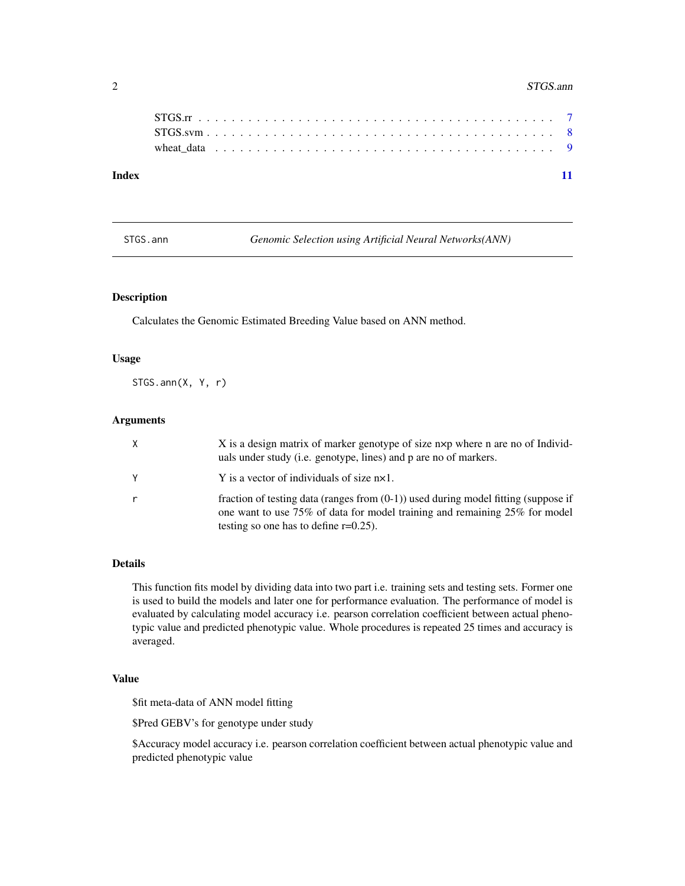#### <span id="page-1-0"></span>2 STGS.ann

|       | wheat data $\ldots \ldots \ldots \ldots \ldots \ldots \ldots \ldots \ldots \ldots \ldots \ldots \ldots$ |  |  |  |  |  |  |  |  |  |  |  |  |  |  |  |  |  |  |  |  |  |
|-------|---------------------------------------------------------------------------------------------------------|--|--|--|--|--|--|--|--|--|--|--|--|--|--|--|--|--|--|--|--|--|
| Index |                                                                                                         |  |  |  |  |  |  |  |  |  |  |  |  |  |  |  |  |  |  |  |  |  |

STGS.ann *Genomic Selection using Artificial Neural Networks(ANN)*

#### Description

Calculates the Genomic Estimated Breeding Value based on ANN method.

#### Usage

STGS.ann(X, Y, r)

#### Arguments

| X. | X is a design matrix of marker genotype of size nxp where n are no of Individ-<br>uals under study (i.e. genotype, lines) and p are no of markers.                                                              |
|----|-----------------------------------------------------------------------------------------------------------------------------------------------------------------------------------------------------------------|
|    | Y is a vector of individuals of size $nx1$ .                                                                                                                                                                    |
| r  | fraction of testing data (ranges from $(0-1)$ ) used during model fitting (suppose if<br>one want to use 75% of data for model training and remaining 25% for model<br>testing so one has to define $r=0.25$ ). |

#### Details

This function fits model by dividing data into two part i.e. training sets and testing sets. Former one is used to build the models and later one for performance evaluation. The performance of model is evaluated by calculating model accuracy i.e. pearson correlation coefficient between actual phenotypic value and predicted phenotypic value. Whole procedures is repeated 25 times and accuracy is averaged.

#### Value

\$fit meta-data of ANN model fitting

\$Pred GEBV's for genotype under study

\$Accuracy model accuracy i.e. pearson correlation coefficient between actual phenotypic value and predicted phenotypic value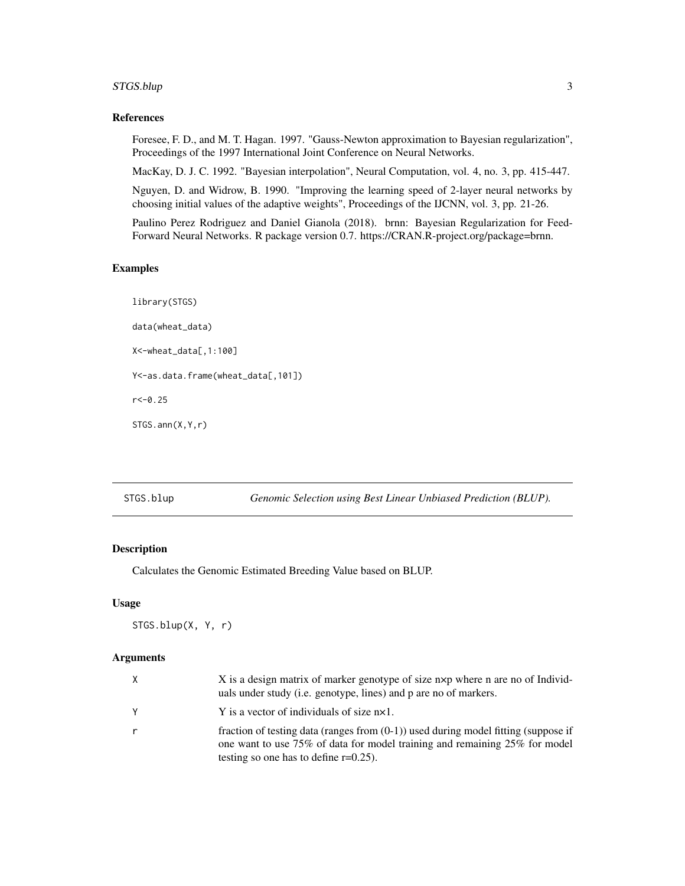#### <span id="page-2-0"></span>STGS.blup 3

#### References

Foresee, F. D., and M. T. Hagan. 1997. "Gauss-Newton approximation to Bayesian regularization", Proceedings of the 1997 International Joint Conference on Neural Networks.

MacKay, D. J. C. 1992. "Bayesian interpolation", Neural Computation, vol. 4, no. 3, pp. 415-447.

Nguyen, D. and Widrow, B. 1990. "Improving the learning speed of 2-layer neural networks by choosing initial values of the adaptive weights", Proceedings of the IJCNN, vol. 3, pp. 21-26.

Paulino Perez Rodriguez and Daniel Gianola (2018). brnn: Bayesian Regularization for Feed-Forward Neural Networks. R package version 0.7. https://CRAN.R-project.org/package=brnn.

#### Examples

```
library(STGS)
data(wheat_data)
X<-wheat_data[,1:100]
Y<-as.data.frame(wheat_data[,101])
r < -0.25STGS.ann(X,Y,r)
```
STGS.blup *Genomic Selection using Best Linear Unbiased Prediction (BLUP).*

#### Description

Calculates the Genomic Estimated Breeding Value based on BLUP.

#### Usage

STGS.blup(X, Y, r)

#### Arguments

| X | X is a design matrix of marker genotype of size n×p where n are no of Individ-<br>uals under study (i.e. genotype, lines) and p are no of markers.                                                              |
|---|-----------------------------------------------------------------------------------------------------------------------------------------------------------------------------------------------------------------|
| γ | Y is a vector of individuals of size $nx1$ .                                                                                                                                                                    |
| r | fraction of testing data (ranges from $(0-1)$ ) used during model fitting (suppose if<br>one want to use 75% of data for model training and remaining 25% for model<br>testing so one has to define $r=0.25$ ). |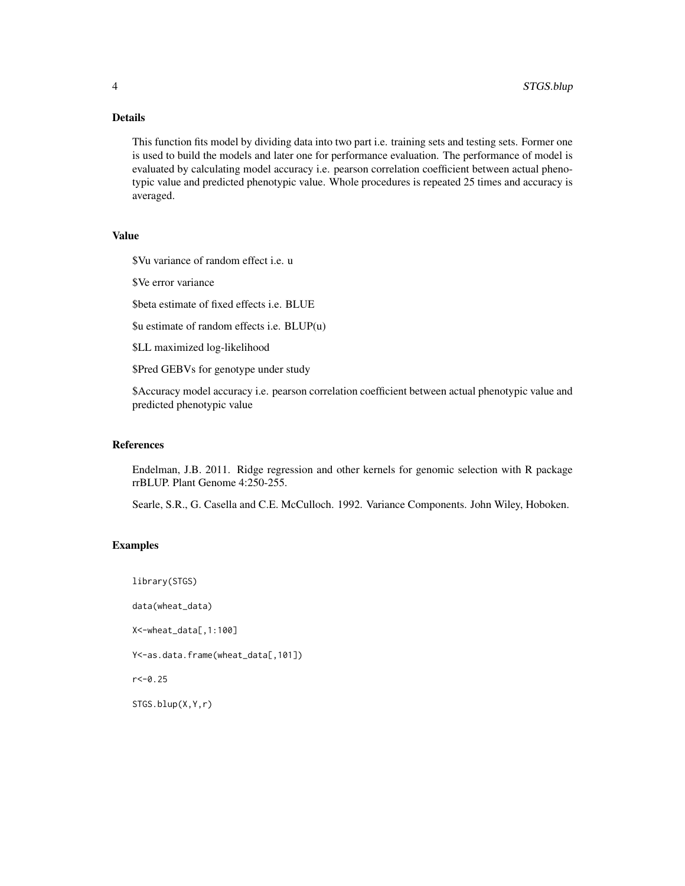#### Details

This function fits model by dividing data into two part i.e. training sets and testing sets. Former one is used to build the models and later one for performance evaluation. The performance of model is evaluated by calculating model accuracy i.e. pearson correlation coefficient between actual phenotypic value and predicted phenotypic value. Whole procedures is repeated 25 times and accuracy is averaged.

#### Value

\$Vu variance of random effect i.e. u

\$Ve error variance

\$beta estimate of fixed effects i.e. BLUE

\$u estimate of random effects i.e. BLUP(u)

\$LL maximized log-likelihood

\$Pred GEBVs for genotype under study

\$Accuracy model accuracy i.e. pearson correlation coefficient between actual phenotypic value and predicted phenotypic value

#### References

Endelman, J.B. 2011. Ridge regression and other kernels for genomic selection with R package rrBLUP. Plant Genome 4:250-255.

Searle, S.R., G. Casella and C.E. McCulloch. 1992. Variance Components. John Wiley, Hoboken.

#### Examples

library(STGS)

data(wheat\_data)

X<-wheat\_data[,1:100]

Y<-as.data.frame(wheat\_data[,101])

 $r < -0.25$ 

STGS.blup(X,Y,r)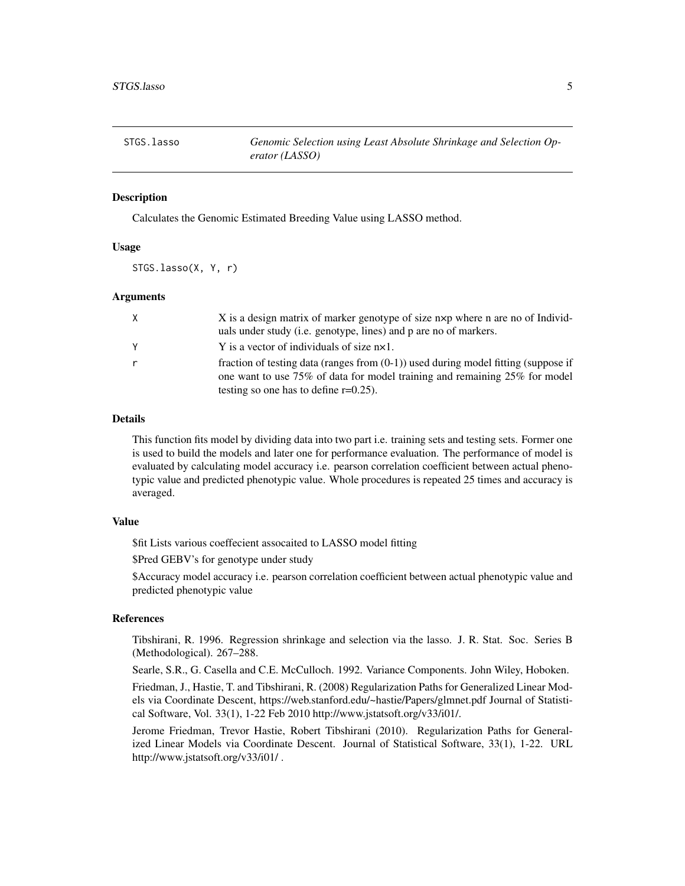<span id="page-4-0"></span>

#### Description

Calculates the Genomic Estimated Breeding Value using LASSO method.

#### Usage

STGS.lasso(X, Y, r)

#### Arguments

| $\mathsf{X}$ | X is a design matrix of marker genotype of size nxp where n are no of Individ-        |
|--------------|---------------------------------------------------------------------------------------|
|              | uals under study (i.e. genotype, lines) and p are no of markers.                      |
| Y            | Y is a vector of individuals of size $nx1$ .                                          |
| r            | fraction of testing data (ranges from $(0-1)$ ) used during model fitting (suppose if |
|              | one want to use 75% of data for model training and remaining 25% for model            |
|              | testing so one has to define $r=0.25$ ).                                              |

#### Details

This function fits model by dividing data into two part i.e. training sets and testing sets. Former one is used to build the models and later one for performance evaluation. The performance of model is evaluated by calculating model accuracy i.e. pearson correlation coefficient between actual phenotypic value and predicted phenotypic value. Whole procedures is repeated 25 times and accuracy is averaged.

#### Value

\$fit Lists various coeffecient assocaited to LASSO model fitting

\$Pred GEBV's for genotype under study

\$Accuracy model accuracy i.e. pearson correlation coefficient between actual phenotypic value and predicted phenotypic value

#### References

Tibshirani, R. 1996. Regression shrinkage and selection via the lasso. J. R. Stat. Soc. Series B (Methodological). 267–288.

Searle, S.R., G. Casella and C.E. McCulloch. 1992. Variance Components. John Wiley, Hoboken.

Friedman, J., Hastie, T. and Tibshirani, R. (2008) Regularization Paths for Generalized Linear Models via Coordinate Descent, https://web.stanford.edu/~hastie/Papers/glmnet.pdf Journal of Statistical Software, Vol. 33(1), 1-22 Feb 2010 http://www.jstatsoft.org/v33/i01/.

Jerome Friedman, Trevor Hastie, Robert Tibshirani (2010). Regularization Paths for Generalized Linear Models via Coordinate Descent. Journal of Statistical Software, 33(1), 1-22. URL http://www.jstatsoft.org/v33/i01/ .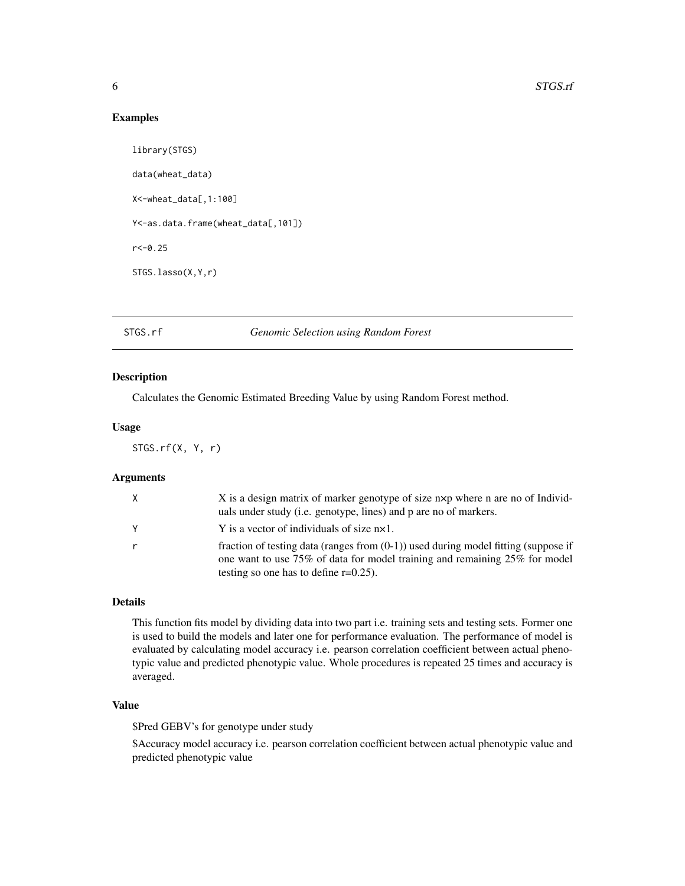#### Examples

```
library(STGS)
data(wheat_data)
X<-wheat_data[,1:100]
Y<-as.data.frame(wheat_data[,101])
r < -0.25STGS.lasso(X,Y,r)
```
#### STGS.rf *Genomic Selection using Random Forest*

#### Description

Calculates the Genomic Estimated Breeding Value by using Random Forest method.

#### Usage

STGS.rf(X, Y, r)

#### Arguments

| X | X is a design matrix of marker genotype of size nxp where n are no of Individ-<br>uals under study (i.e. genotype, lines) and p are no of markers.                                                              |
|---|-----------------------------------------------------------------------------------------------------------------------------------------------------------------------------------------------------------------|
| Y | Y is a vector of individuals of size $nx1$ .                                                                                                                                                                    |
| r | fraction of testing data (ranges from $(0-1)$ ) used during model fitting (suppose if<br>one want to use 75% of data for model training and remaining 25% for model<br>testing so one has to define $r=0.25$ ). |

#### Details

This function fits model by dividing data into two part i.e. training sets and testing sets. Former one is used to build the models and later one for performance evaluation. The performance of model is evaluated by calculating model accuracy i.e. pearson correlation coefficient between actual phenotypic value and predicted phenotypic value. Whole procedures is repeated 25 times and accuracy is averaged.

#### Value

\$Pred GEBV's for genotype under study

\$Accuracy model accuracy i.e. pearson correlation coefficient between actual phenotypic value and predicted phenotypic value

<span id="page-5-0"></span>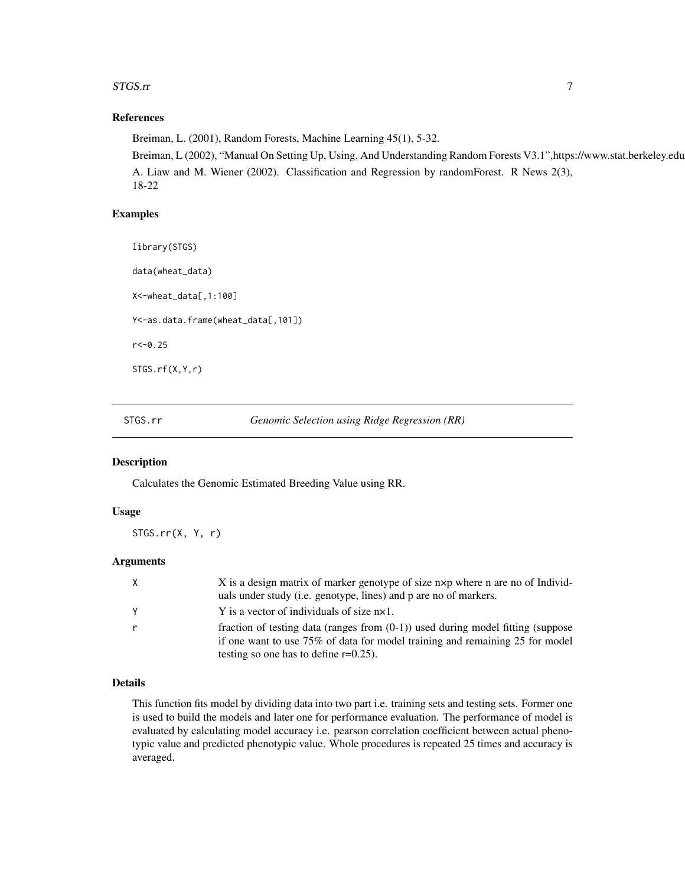#### <span id="page-6-0"></span>STGS.rr 7

#### References

Breiman, L. (2001), Random Forests, Machine Learning 45(1), 5-32. Breiman, L (2002), "Manual On Setting Up, Using, And Understanding Random Forests V3.1",https://www.stat.berkeley.edu A. Liaw and M. Wiener (2002). Classification and Regression by randomForest. R News 2(3), 18-22

#### Examples

library(STGS) data(wheat\_data) X<-wheat\_data[,1:100] Y<-as.data.frame(wheat\_data[,101]) r<-0.25 STGS.rf(X,Y,r)

STGS.rr *Genomic Selection using Ridge Regression (RR)*

#### Description

Calculates the Genomic Estimated Breeding Value using RR.

#### Usage

STGS.rr(X, Y, r)

#### Arguments

| X            | X is a design matrix of marker genotype of size nxp where n are no of Individ-<br>uals under study (i.e. genotype, lines) and p are no of markers.                                                             |
|--------------|----------------------------------------------------------------------------------------------------------------------------------------------------------------------------------------------------------------|
| Y            | Y is a vector of individuals of size $nx1$ .                                                                                                                                                                   |
| $\mathsf{r}$ | fraction of testing data (ranges from $(0-1)$ ) used during model fitting (suppose<br>if one want to use 75% of data for model training and remaining 25 for model<br>testing so one has to define $r=0.25$ ). |

#### Details

This function fits model by dividing data into two part i.e. training sets and testing sets. Former one is used to build the models and later one for performance evaluation. The performance of model is evaluated by calculating model accuracy i.e. pearson correlation coefficient between actual phenotypic value and predicted phenotypic value. Whole procedures is repeated 25 times and accuracy is averaged.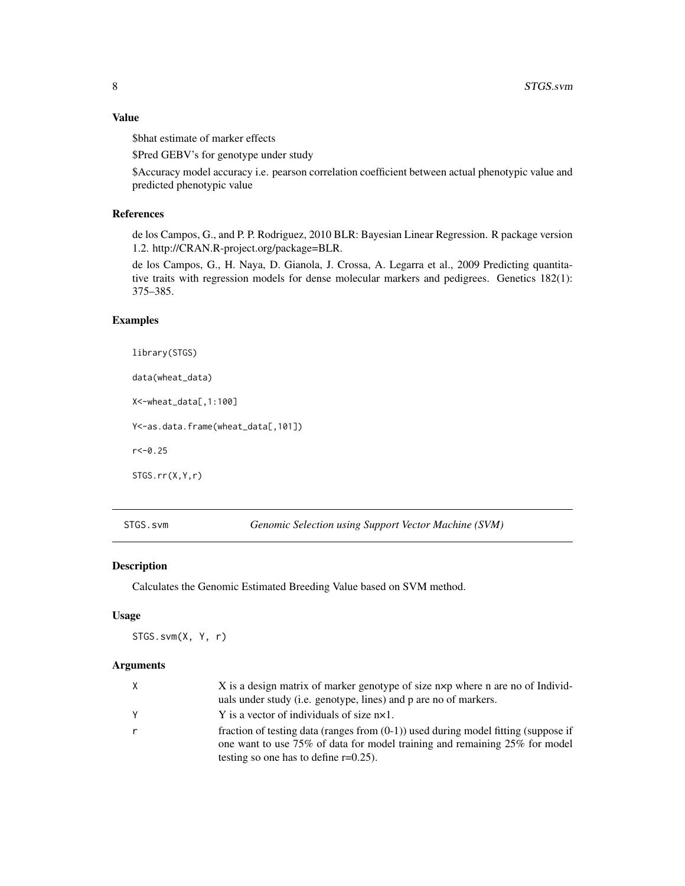#### <span id="page-7-0"></span>Value

\$bhat estimate of marker effects

\$Pred GEBV's for genotype under study

\$Accuracy model accuracy i.e. pearson correlation coefficient between actual phenotypic value and predicted phenotypic value

#### References

de los Campos, G., and P. P. Rodriguez, 2010 BLR: Bayesian Linear Regression. R package version 1.2. http://CRAN.R-project.org/package=BLR.

de los Campos, G., H. Naya, D. Gianola, J. Crossa, A. Legarra et al., 2009 Predicting quantitative traits with regression models for dense molecular markers and pedigrees. Genetics 182(1): 375–385.

#### Examples

library(STGS) data(wheat\_data)

X<-wheat\_data[,1:100]

Y<-as.data.frame(wheat\_data[,101])

 $r < -0.25$ 

STGS.rr(X,Y,r)

STGS.svm *Genomic Selection using Support Vector Machine (SVM)*

#### Description

Calculates the Genomic Estimated Breeding Value based on SVM method.

#### Usage

STGS.svm(X, Y, r)

#### Arguments

| X | X is a design matrix of marker genotype of size nxp where n are no of Individ-<br>uals under study (i.e. genotype, lines) and p are no of markers. |
|---|----------------------------------------------------------------------------------------------------------------------------------------------------|
| Y | Y is a vector of individuals of size $nx1$ .                                                                                                       |
|   | fraction of testing data (ranges from $(0-1)$ ) used during model fitting (suppose if                                                              |
|   | one want to use 75% of data for model training and remaining 25% for model                                                                         |
|   | testing so one has to define $r=0.25$ ).                                                                                                           |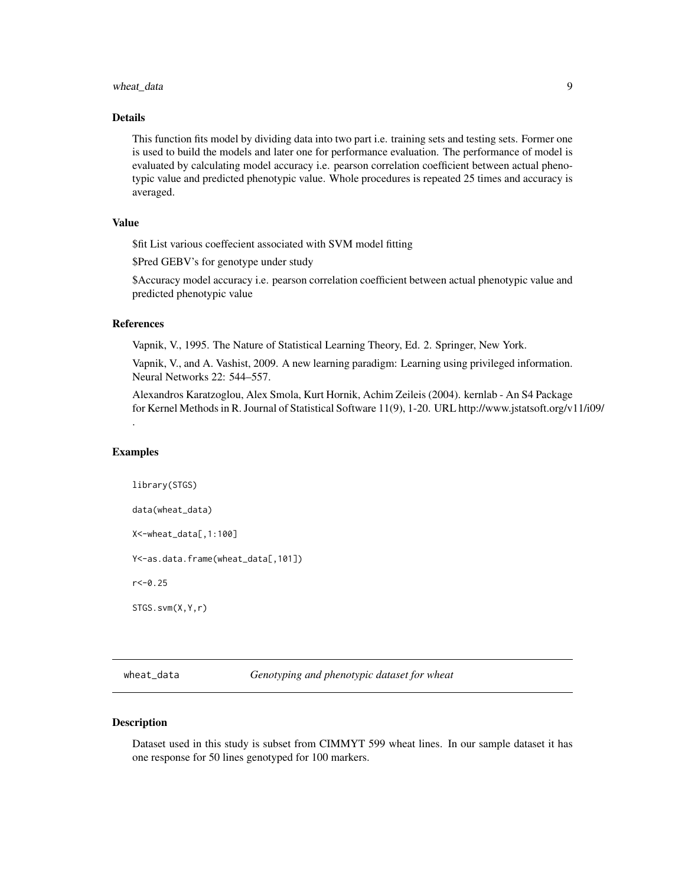#### <span id="page-8-0"></span>wheat\_data 9

#### Details

This function fits model by dividing data into two part i.e. training sets and testing sets. Former one is used to build the models and later one for performance evaluation. The performance of model is evaluated by calculating model accuracy i.e. pearson correlation coefficient between actual phenotypic value and predicted phenotypic value. Whole procedures is repeated 25 times and accuracy is averaged.

#### Value

\$fit List various coeffecient associated with SVM model fitting

\$Pred GEBV's for genotype under study

\$Accuracy model accuracy i.e. pearson correlation coefficient between actual phenotypic value and predicted phenotypic value

#### References

Vapnik, V., 1995. The Nature of Statistical Learning Theory, Ed. 2. Springer, New York.

Vapnik, V., and A. Vashist, 2009. A new learning paradigm: Learning using privileged information. Neural Networks 22: 544–557.

Alexandros Karatzoglou, Alex Smola, Kurt Hornik, Achim Zeileis (2004). kernlab - An S4 Package for Kernel Methods in R. Journal of Statistical Software 11(9), 1-20. URL http://www.jstatsoft.org/v11/i09/

#### Examples

.

library(STGS) data(wheat\_data) X<-wheat\_data[,1:100] Y<-as.data.frame(wheat\_data[,101])  $r < -0.25$ STGS.svm(X,Y,r)

wheat\_data *Genotyping and phenotypic dataset for wheat*

#### **Description**

Dataset used in this study is subset from CIMMYT 599 wheat lines. In our sample dataset it has one response for 50 lines genotyped for 100 markers.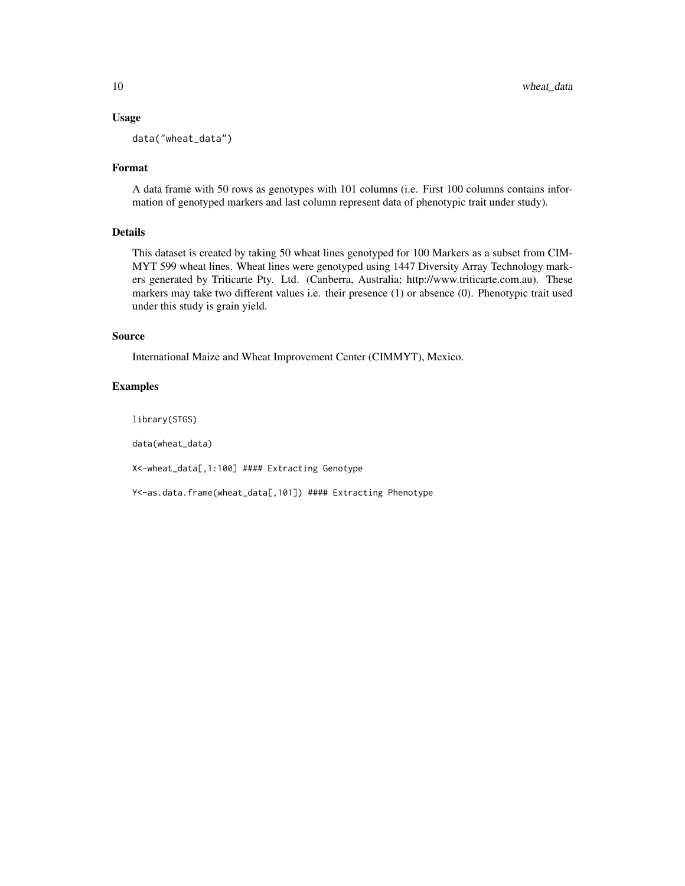#### Usage

data("wheat\_data")

#### Format

A data frame with 50 rows as genotypes with 101 columns (i.e. First 100 columns contains information of genotyped markers and last column represent data of phenotypic trait under study).

#### Details

This dataset is created by taking 50 wheat lines genotyped for 100 Markers as a subset from CIM-MYT 599 wheat lines. Wheat lines were genotyped using 1447 Diversity Array Technology markers generated by Triticarte Pty. Ltd. (Canberra, Australia; http://www.triticarte.com.au). These markers may take two different values i.e. their presence (1) or absence (0). Phenotypic trait used under this study is grain yield.

#### Source

International Maize and Wheat Improvement Center (CIMMYT), Mexico.

#### Examples

library(STGS)

data(wheat\_data)

X<-wheat\_data[,1:100] #### Extracting Genotype

Y<-as.data.frame(wheat\_data[,101]) #### Extracting Phenotype